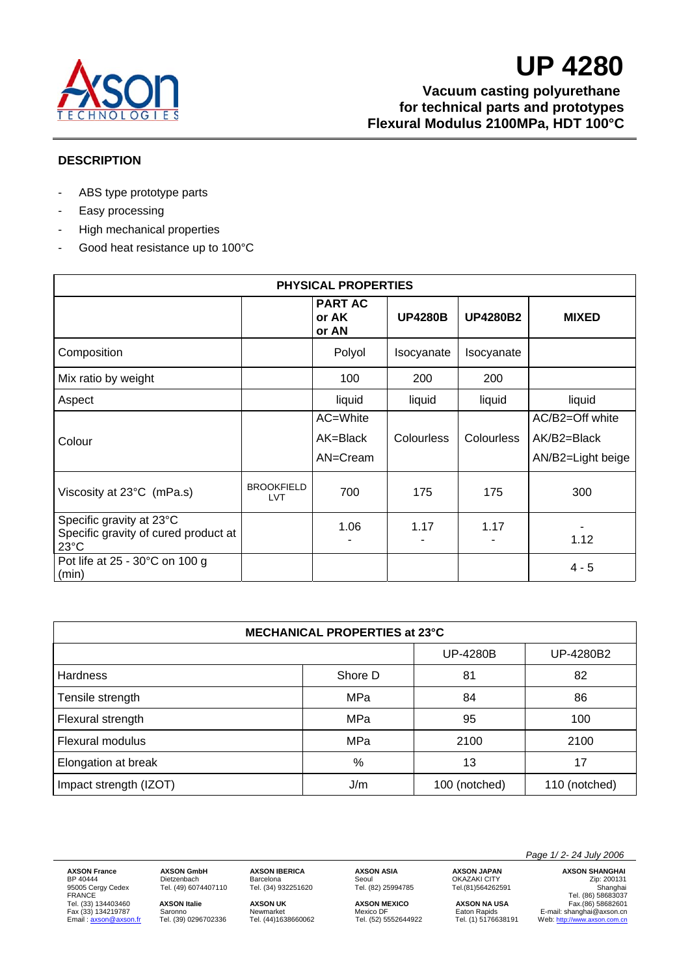

**Vacuum casting polyurethane for technical parts and prototypes Flexural Modulus 2100MPa, HDT 100°C** 

### **DESCRIPTION**

- ABS type prototype parts
- Easy processing
- High mechanical properties
- Good heat resistance up to 100°C

| <b>PHYSICAL PROPERTIES</b>                                       |                                 |                                  |                |                   |                   |
|------------------------------------------------------------------|---------------------------------|----------------------------------|----------------|-------------------|-------------------|
|                                                                  |                                 | <b>PART AC</b><br>or AK<br>or AN | <b>UP4280B</b> | <b>UP4280B2</b>   | <b>MIXED</b>      |
| Composition                                                      |                                 | Polyol                           | Isocyanate     | Isocyanate        |                   |
| Mix ratio by weight                                              |                                 | 100                              | 200            | 200               |                   |
| Aspect                                                           |                                 | liquid                           | liquid         | liquid            | liquid            |
|                                                                  |                                 | AC=White                         |                |                   | AC/B2=Off white   |
| Colour                                                           |                                 | AK=Black                         | Colourless     | <b>Colourless</b> | AK/B2=Black       |
|                                                                  |                                 | AN=Cream                         |                |                   | AN/B2=Light beige |
| Viscosity at 23°C (mPa.s)                                        | <b>BROOKFIELD</b><br><b>LVT</b> | 700                              | 175            | 175               | 300               |
| Specific gravity at 23°C<br>Specific gravity of cured product at |                                 | 1.06                             | 1.17           | 1.17              |                   |
| $23^{\circ}$ C                                                   |                                 |                                  |                |                   | 1.12              |
| Pot life at 25 - 30°C on 100 g<br>(min)                          |                                 |                                  |                |                   | $4 - 5$           |

| <b>MECHANICAL PROPERTIES at 23°C</b> |         |                 |               |  |  |
|--------------------------------------|---------|-----------------|---------------|--|--|
|                                      |         | <b>UP-4280B</b> | UP-4280B2     |  |  |
| <b>Hardness</b>                      | Shore D | 81              | 82            |  |  |
| Tensile strength                     | MPa     | 84              | 86            |  |  |
| Flexural strength                    | MPa     | 95              | 100           |  |  |
| Flexural modulus                     | MPa     | 2100            | 2100          |  |  |
| Elongation at break                  | $\%$    | 13              | 17            |  |  |
| Impact strength (IZOT)               | J/m     | 100 (notched)   | 110 (notched) |  |  |

Tel. (33) 134403460 **AXSON Italie AXSON UK AXSON MEXICO AXSON NA USA** Fax.(86) 58682601

**AXSON France AXSON GmbH AXSON IBERICA AXSON ASIA AXSON JAPAN AXSON SHANGHAI**<br>
BP 40444 **Dietzenbach** Barcelona Seoul Seoul OKAZAKI CITY *Zip*: 200131<br>
95005 Cergy Cedex Tel. (49) 6074407110 Tel. (34) 932251620 T BP 40444 Dietzenbach Barcelona Seoul OKAZAKI CITY Zip: 200131 95005 Cergy Cedex Tel. (49) 6074407110 Tel. (34) 932251620 Tel. (82) 25994785 Tel.(81)564262591 Shanghai FRANCE TEL. (49) 6074407110<br>
Tel. (49) 6074407110<br>
Tel. (34) 932251620<br>
Tel. (34) 932251620<br>
Tel. (86) 93251620<br>
Tel. (86) 93251620<br>
Tel. (86) 93251620<br>
Tel. (86) 58683037<br>
Tel. (86) 58683037<br>
Tel. (86) 58683037<br>
Tel. (86 Fax (33) 134219787 Saronno Newmarket Mexico DF Eaton Rapids E-mail: shanghai@axson.cn Email : axson@axson.fr Tel. (39) 0296702336 Tel. (44)1638660062 Tel. (52) 5552644922 Tel. (1) 5176638191 Web: http://www.axson.com.cn

 *Page 1/ 2- 24 July 2006*